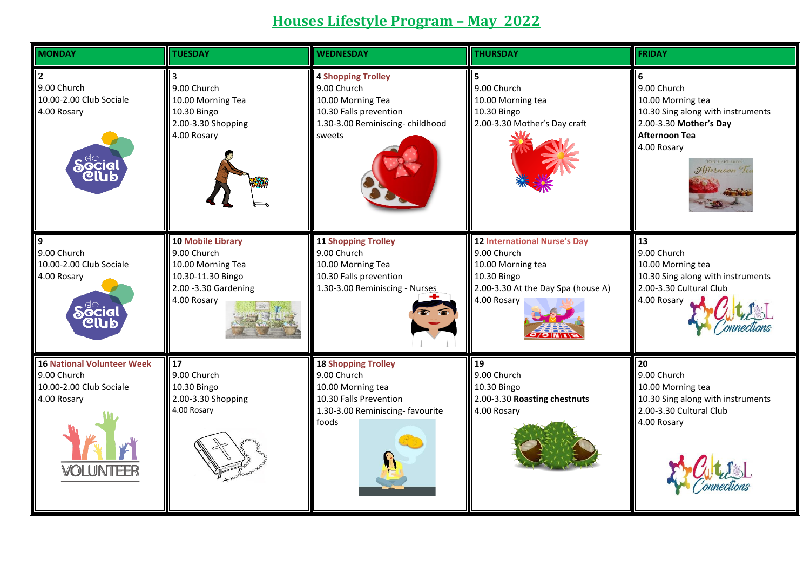## **Houses Lifestyle Program – May 2022**